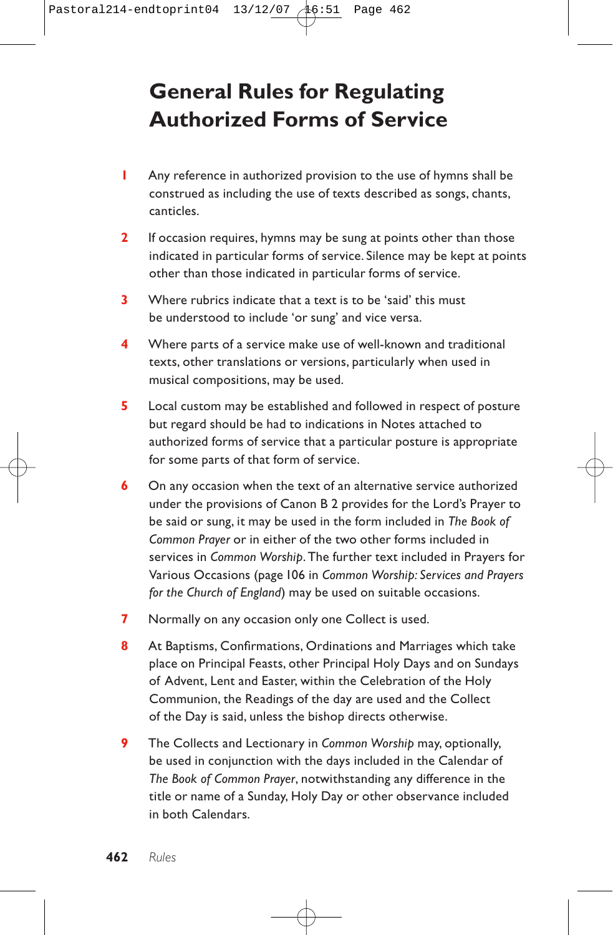# **General Rules for Regulating Authorized Forms of Service**

- **1** Any reference in authorized provision to the use of hymns shall be construed as including the use of texts described as songs, chants, canticles.
- **2** If occasion requires, hymns may be sung at points other than those indicated in particular forms of service. Silence may be kept at points other than those indicated in particular forms of service.
- **3** Where rubrics indicate that a text is to be 'said' this must be understood to include 'or sung' and vice versa.
- **4** Where parts of a service make use of well-known and traditional texts, other translations or versions, particularly when used in musical compositions, may be used.
- **5** Local custom may be established and followed in respect of posture but regard should be had to indications in Notes attached to authorized forms of service that a particular posture is appropriate for some parts of that form of service.
- **6** On any occasion when the text of an alternative service authorized under the provisions of Canon B 2 provides for the Lord's Prayer to be said or sung, it may be used in the form included in *The Book of Common Prayer* or in either of the two other forms included in services in *Common Worship*. The further text included in Prayers for Various Occasions (page 106 in *Common Worship: Services and Prayers for the Church of England*) may be used on suitable occasions.
- **7** Normally on any occasion only one Collect is used.
- **8** At Baptisms, Confirmations, Ordinations and Marriages which take place on Principal Feasts, other Principal Holy Days and on Sundays of Advent, Lent and Easter, within the Celebration of the Holy Communion, the Readings of the day are used and the Collect of the Day is said, unless the bishop directs otherwise.
- **9** The Collects and Lectionary in *Common Worship* may, optionally, be used in conjunction with the days included in the Calendar of *The Book of Common Prayer*, notwithstanding any difference in the title or name of a Sunday, Holy Day or other observance included in both Calendars.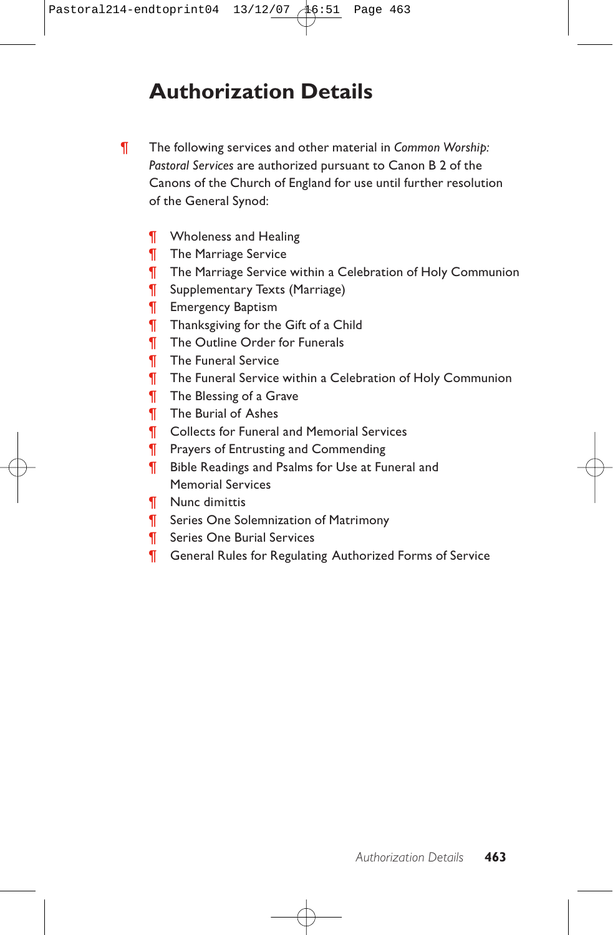## **Authorization Details**

- ¶ The following services and other material in *Common Worship: Pastoral Services* are authorized pursuant to Canon B 2 of the Canons of the Church of England for use until further resolution of the General Synod:
	- **T** Wholeness and Healing
	- **The Marriage Service**
	- ¶ The Marriage Service within a Celebration of Holy Communion
	- ¶ Supplementary Texts (Marriage)
	- **T** Emergency Baptism
	- **Thanksgiving for the Gift of a Child**
	- ¶ The Outline Order for Funerals
	- **The Funeral Service**
	- ¶ The Funeral Service within a Celebration of Holy Communion
	- **The Blessing of a Grave**
	- ¶ The Burial of Ashes
	- **T** Collects for Funeral and Memorial Services
	- **T** Prayers of Entrusting and Commending
	- ¶ Bible Readings and Psalms for Use at Funeral and Memorial Services
	- ¶ Nunc dimittis
	- **T** Series One Solemnization of Matrimony
	- ¶ Series One Burial Services
	- ¶ General Rules for Regulating Authorized Forms of Service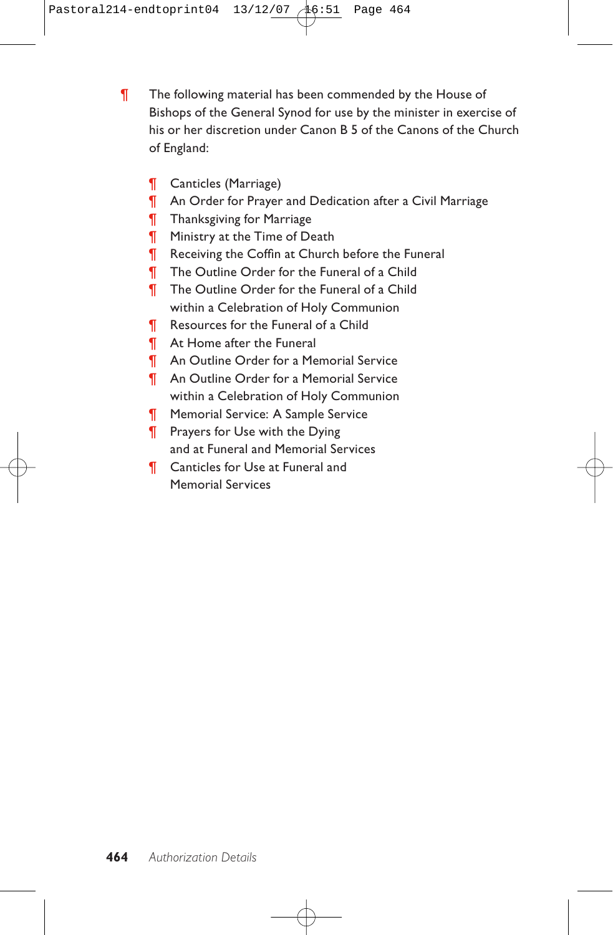¶ The following material has been commended by the House of Bishops of the General Synod for use by the minister in exercise of his or her discretion under Canon B 5 of the Canons of the Church of England:

- ¶ Canticles (Marriage)
- ¶ An Order for Prayer and Dedication after a Civil Marriage
- ¶ Thanksgiving for Marriage
- **T** Ministry at the Time of Death
- ¶ Receiving the Coffin at Church before the Funeral
- ¶ The Outline Order for the Funeral of a Child
- ¶ The Outline Order for the Funeral of a Child within a Celebration of Holy Communion
- ¶ Resources for the Funeral of a Child
- ¶ At Home after the Funeral
- ¶ An Outline Order for a Memorial Service
- ¶ An Outline Order for a Memorial Service within a Celebration of Holy Communion
- ¶ Memorial Service: A Sample Service
- **T** Prayers for Use with the Dying and at Funeral and Memorial Services
- **T** Canticles for Use at Funeral and Memorial Services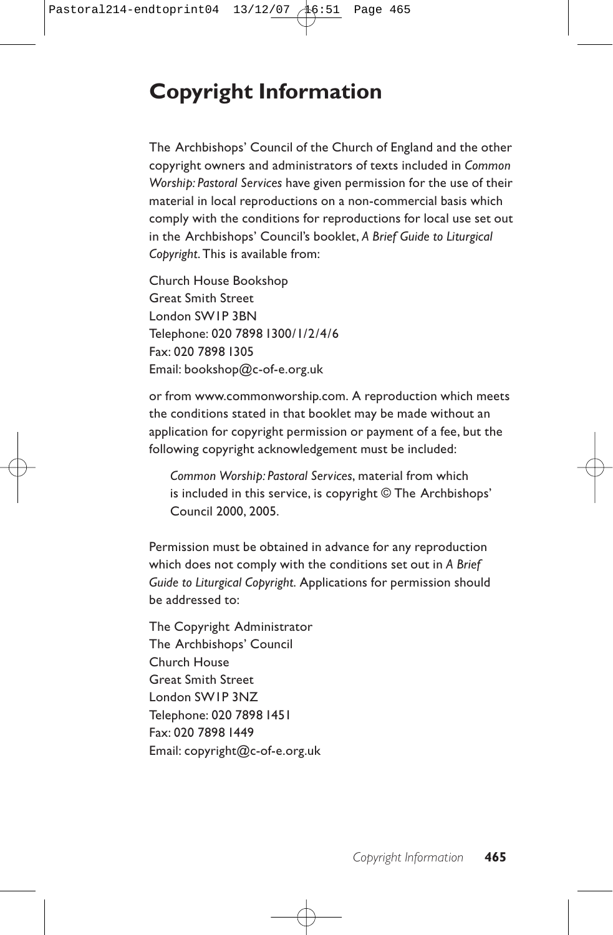# **Copyright Information**

The Archbishops' Council of the Church of England and the other copyright owners and administrators of texts included in *Common Worship: Pastoral Services* have given permission for the use of their material in local reproductions on a non-commercial basis which comply with the conditions for reproductions for local use set out in the Archbishops' Council's booklet, *A Brief Guide to Liturgical Copyright*. This is available from:

Church House Bookshop Great Smith Street London SW1P 3BN Telephone: 020 7898 1300/1/2/4/6 Fax: 020 7898 1305 Email: bookshop@c-of-e.org.uk

or from www.commonworship.com. A reproduction which meets the conditions stated in that booklet may be made without an application for copyright permission or payment of a fee, but the following copyright acknowledgement must be included:

*Common Worship: Pastoral Services*, material from which is included in this service, is copyright © The Archbishops' Council 2000, 2005.

Permission must be obtained in advance for any reproduction which does not comply with the conditions set out in *A Brief Guide to Liturgical Copyright*. Applications for permission should be addressed to:

The Copyright Administrator The Archbishops' Council Church House Great Smith Street London SW1P 3NZ Telephone: 020 7898 1451 Fax: 020 7898 1449 Email: copyright@c-of-e.org.uk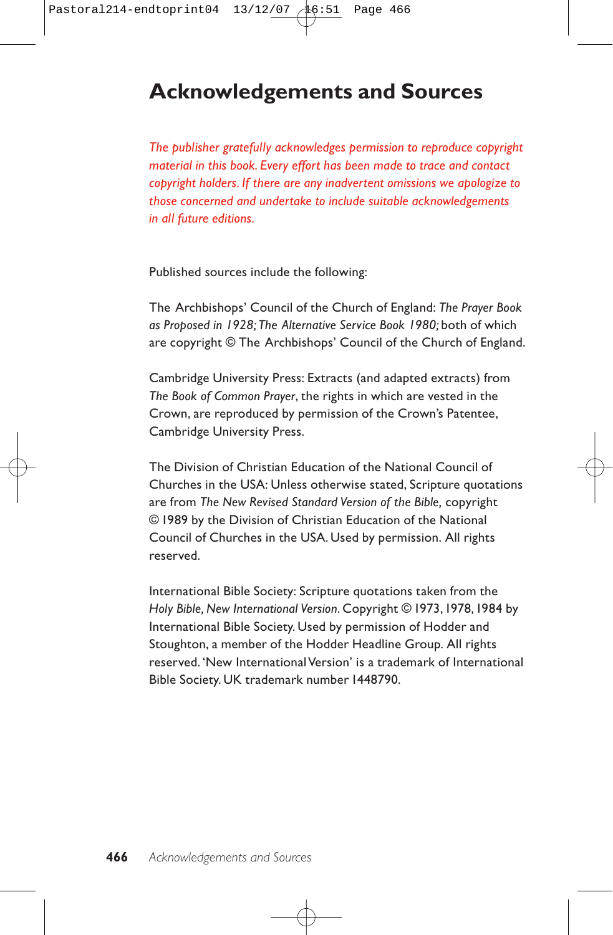### **Acknowledgements and Sources**

*The publisher gratefully acknowledges permission to reproduce copyright material in this book. Every effort has been made to trace and contact copyright holders. If there are any inadvertent omissions we apologize to those concerned and undertake to include suitable acknowledgements in all future editions.*

Published sources include the following:

The Archbishops' Council of the Church of England: *The Prayer Book as Proposed in 1928; The Alternative Service Book 1980;* both of which are copyright © The Archbishops' Council of the Church of England.

Cambridge University Press: Extracts (and adapted extracts) from *The Book of Common Prayer*, the rights in which are vested in the Crown, are reproduced by permission of the Crown's Patentee, Cambridge University Press.

The Division of Christian Education of the National Council of Churches in the USA: Unless otherwise stated, Scripture quotations are from *The New Revised Standard Version of the Bible,* copyright © 1989 by the Division of Christian Education of the National Council of Churches in the USA. Used by permission. All rights reserved.

International Bible Society: Scripture quotations taken from the *Holy Bible, New International Version*. Copyright © 1973,1978,1984 by International Bible Society. Used by permission of Hodder and Stoughton, a member of the Hodder Headline Group. All rights reserved. 'New International Version' is a trademark of International Bible Society. UK trademark number 1448790.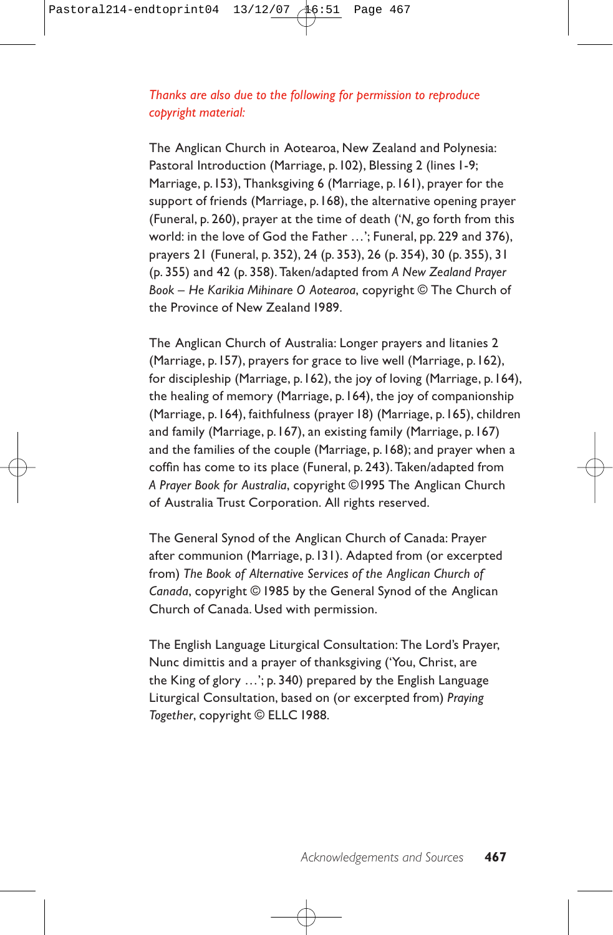#### *Thanks are also due to the following for permission to reproduce copyright material:*

The Anglican Church in Aotearoa, New Zealand and Polynesia: Pastoral Introduction (Marriage, p.102), Blessing 2 (lines 1-9; Marriage, p.153), Thanksgiving 6 (Marriage, p.161), prayer for the support of friends (Marriage, p.168), the alternative opening prayer (Funeral, p. 260), prayer at the time of death ('*N*, go forth from this world: in the love of God the Father …'; Funeral, pp. 229 and 376), prayers 21 (Funeral, p. 352), 24 (p. 353), 26 (p. 354), 30 (p. 355), 31 (p. 355) and 42 (p. 358). Taken/adapted from *A New Zealand Prayer Book – He Karikia Mihinare O Aotearoa*, copyright © The Church of the Province of New Zealand 1989.

The Anglican Church of Australia: Longer prayers and litanies 2 (Marriage, p.157), prayers for grace to live well (Marriage, p.162), for discipleship (Marriage, p.162), the joy of loving (Marriage, p.164), the healing of memory (Marriage, p.164), the joy of companionship (Marriage, p.164), faithfulness (prayer 18) (Marriage, p.165), children and family (Marriage, p.167), an existing family (Marriage, p.167) and the families of the couple (Marriage, p.168); and prayer when a coffin has come to its place (Funeral, p. 243). Taken/adapted from *A Prayer Book for Australia*, copyright ©1995 The Anglican Church of Australia Trust Corporation. All rights reserved.

The General Synod of the Anglican Church of Canada: Prayer after communion (Marriage, p.131). Adapted from (or excerpted from) *The Book of Alternative Services of the Anglican Church of Canada*, copyright © 1985 by the General Synod of the Anglican Church of Canada. Used with permission.

The English Language Liturgical Consultation: The Lord's Prayer, Nunc dimittis and a prayer of thanksgiving ('You, Christ, are the King of glory …'; p. 340) prepared by the English Language Liturgical Consultation, based on (or excerpted from) *Praying Together*, copyright © ELLC 1988.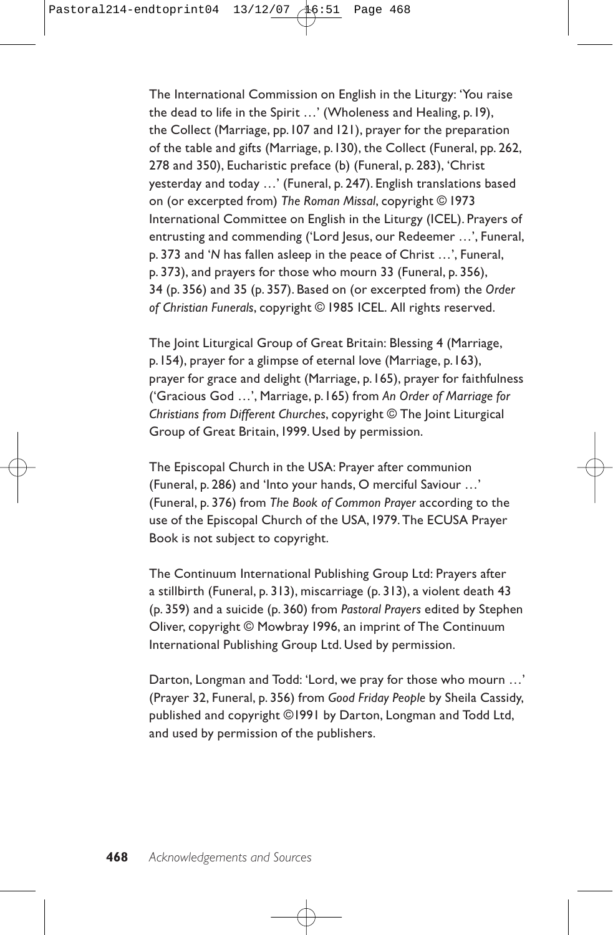The International Commission on English in the Liturgy: 'You raise the dead to life in the Spirit …' (Wholeness and Healing, p.19), the Collect (Marriage, pp.107 and 121), prayer for the preparation of the table and gifts (Marriage, p.130), the Collect (Funeral, pp. 262, 278 and 350), Eucharistic preface (b) (Funeral, p. 283), 'Christ yesterday and today …' (Funeral, p. 247). English translations based on (or excerpted from) *The Roman Missal*, copyright © 1973 International Committee on English in the Liturgy (ICEL). Prayers of entrusting and commending ('Lord Jesus, our Redeemer ...', Funeral, p. 373 and '*N* has fallen asleep in the peace of Christ …', Funeral, p. 373), and prayers for those who mourn 33 (Funeral, p. 356), 34 (p. 356) and 35 (p. 357). Based on (or excerpted from) the *Order of Christian Funerals*, copyright © 1985 ICEL. All rights reserved.

The Joint Liturgical Group of Great Britain: Blessing 4 (Marriage, p.154), prayer for a glimpse of eternal love (Marriage, p.163), prayer for grace and delight (Marriage, p.165), prayer for faithfulness ('Gracious God …', Marriage, p.165) from *An Order of Marriage for Christians from Different Churches*, copyright © The Joint Liturgical Group of Great Britain,1999. Used by permission.

The Episcopal Church in the USA: Prayer after communion (Funeral, p. 286) and 'Into your hands, O merciful Saviour …' (Funeral, p. 376) from *The Book of Common Prayer* according to the use of the Episcopal Church of the USA,1979. The ECUSA Prayer Book is not subject to copyright.

The Continuum International Publishing Group Ltd: Prayers after a stillbirth (Funeral, p. 313), miscarriage (p. 313), a violent death 43 (p. 359) and a suicide (p. 360) from *Pastoral Prayers* edited by Stephen Oliver, copyright © Mowbray 1996, an imprint of The Continuum International Publishing Group Ltd. Used by permission.

Darton, Longman and Todd: 'Lord, we pray for those who mourn …' (Prayer 32, Funeral, p. 356) from *Good Friday People* by Sheila Cassidy, published and copyright ©1991 by Darton, Longman and Todd Ltd, and used by permission of the publishers.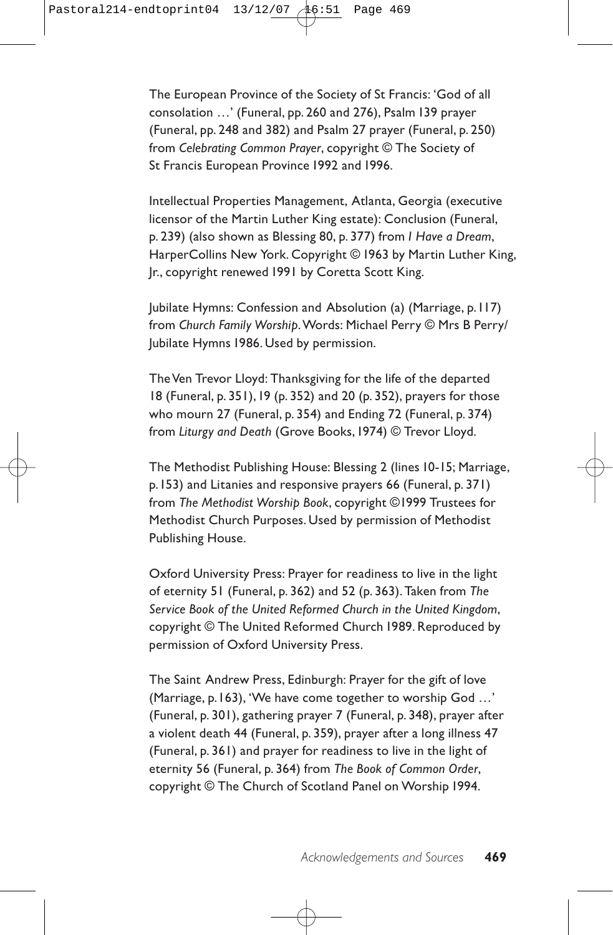The European Province of the Society of St Francis: 'God of all consolation …' (Funeral, pp. 260 and 276), Psalm 139 prayer (Funeral, pp. 248 and 382) and Psalm 27 prayer (Funeral, p. 250) from *Celebrating Common Prayer*, copyright © The Society of St Francis European Province 1992 and 1996.

Intellectual Properties Management, Atlanta, Georgia (executive licensor of the Martin Luther King estate): Conclusion (Funeral, p. 239) (also shown as Blessing 80, p. 377) from *I Have a Dream*, HarperCollins New York. Copyright © 1963 by Martin Luther King, Jr., copyright renewed 1991 by Coretta Scott King.

Jubilate Hymns: Confession and Absolution (a) (Marriage, p.117) from *Church Family Worship*.Words: Michael Perry © Mrs B Perry/ Jubilate Hymns 1986. Used by permission.

The Ven Trevor Lloyd: Thanksgiving for the life of the departed 18 (Funeral, p. 351),19 (p. 352) and 20 (p. 352), prayers for those who mourn 27 (Funeral, p. 354) and Ending 72 (Funeral, p. 374) from *Liturgy and Death* (Grove Books,1974) © Trevor Lloyd.

The Methodist Publishing House: Blessing 2 (lines 10-15; Marriage, p.153) and Litanies and responsive prayers 66 (Funeral, p. 371) from *The Methodist Worship Book*, copyright ©1999 Trustees for Methodist Church Purposes. Used by permission of Methodist Publishing House.

Oxford University Press: Prayer for readiness to live in the light of eternity 51 (Funeral, p. 362) and 52 (p. 363). Taken from *The Service Book of the United Reformed Church in the United Kingdom*, copyright © The United Reformed Church 1989. Reproduced by permission of Oxford University Press.

The Saint Andrew Press, Edinburgh: Prayer for the gift of love (Marriage, p.163), 'We have come together to worship God …' (Funeral, p. 301), gathering prayer 7 (Funeral, p. 348), prayer after a violent death 44 (Funeral, p. 359), prayer after a long illness 47 (Funeral, p. 361) and prayer for readiness to live in the light of eternity 56 (Funeral, p. 364) from *The Book of Common Order*, copyright © The Church of Scotland Panel on Worship 1994.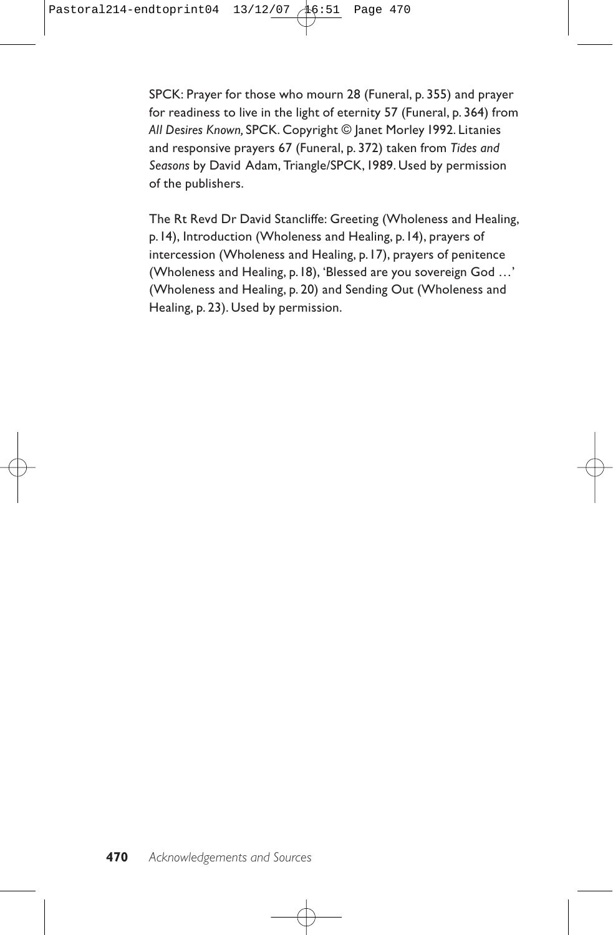SPCK: Prayer for those who mourn 28 (Funeral, p. 355) and prayer for readiness to live in the light of eternity 57 (Funeral, p. 364) from *All Desires Known,* SPCK. Copyright © Janet Morley 1992. Litanies and responsive prayers 67 (Funeral, p. 372) taken from *Tides and Seasons* by David Adam, Triangle/SPCK,1989. Used by permission of the publishers.

The Rt Revd Dr David Stancliffe: Greeting (Wholeness and Healing, p.14), Introduction (Wholeness and Healing, p.14), prayers of intercession (Wholeness and Healing, p.17), prayers of penitence (Wholeness and Healing, p.18), 'Blessed are you sovereign God …' (Wholeness and Healing, p. 20) and Sending Out (Wholeness and Healing, p. 23). Used by permission.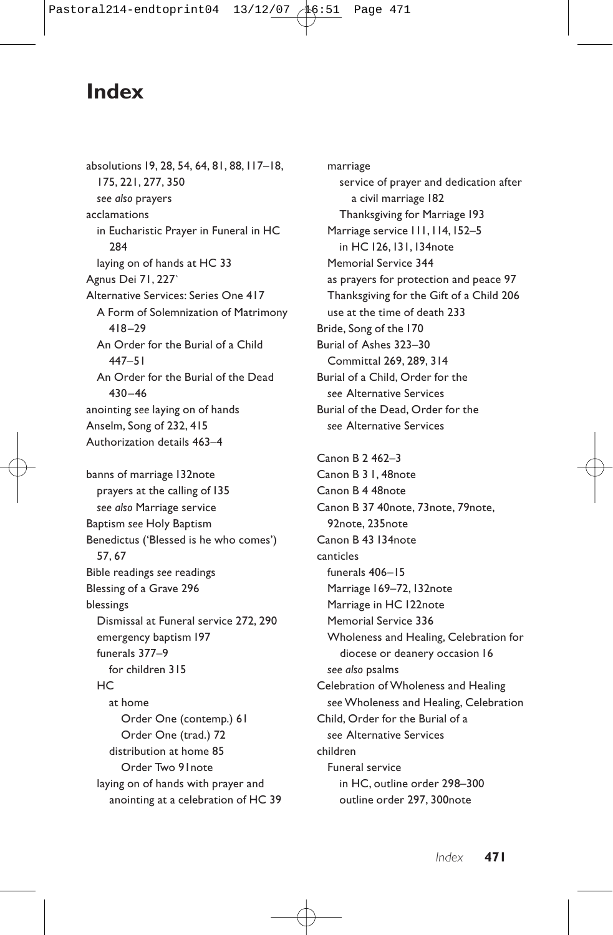#### **Index**

absolutions 19, 28, 54, 64, 81, 88,117–18, 175, 221, 277, 350 *see also* prayers acclamations in Eucharistic Prayer in Funeral in HC 284 laying on of hands at HC 33 Agnus Dei 71, 227` Alternative Services: Series One 417 A Form of Solemnization of Matrimony 418–29 An Order for the Burial of a Child 447–51 An Order for the Burial of the Dead 430–46 anointing *see* laying on of hands Anselm, Song of 232, 415 Authorization details 463–4 banns of marriage 132note prayers at the calling of 135 *see also* Marriage service Baptism *see* Holy Baptism Benedictus ('Blessed is he who comes') 57, 67 Bible readings *see* readings Blessing of a Grave 296 blessings Dismissal at Funeral service 272, 290 emergency baptism 197 funerals 377–9 for children 315  $HC$ at home Order One (contemp.) 61 Order One (trad.) 72 distribution at home 85

Order Two 91note laying on of hands with prayer and anointing at a celebration of HC 39

marriage service of prayer and dedication after a civil marriage 182 Thanksgiving for Marriage 193 Marriage service 111,114,152–5 in HC 126,131,134note Memorial Service 344 as prayers for protection and peace 97 Thanksgiving for the Gift of a Child 206 use at the time of death 233 Bride, Song of the 170 Burial of Ashes 323–30 Committal 269, 289, 314 Burial of a Child, Order for the *see* Alternative Services Burial of the Dead, Order for the *see* Alternative Services

Canon B 2 462–3 Canon B 3 1, 48note Canon B 4 48note Canon B 37 40note, 73note, 79note, 92note, 235note Canon B 43 134note canticles funerals 406–15 Marriage 169-72, 132note Marriage in HC 122note Memorial Service 336 Wholeness and Healing, Celebration for diocese or deanery occasion 16 *see also* psalms Celebration of Wholeness and Healing *see* Wholeness and Healing, Celebration Child, Order for the Burial of a *see* Alternative Services children Funeral service in HC, outline order 298–300 outline order 297, 300note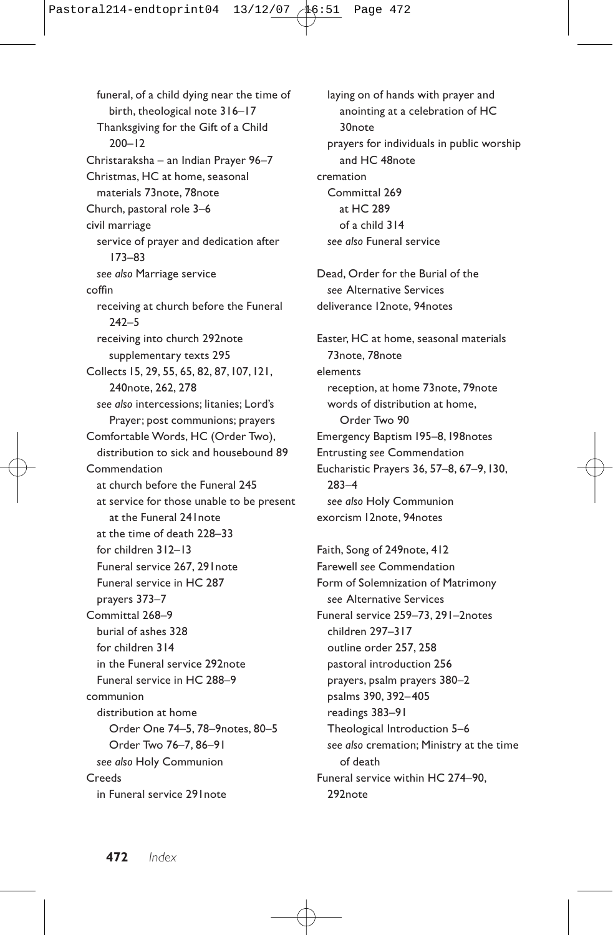funeral, of a child dying near the time of birth, theological note 316–17 Thanksgiving for the Gift of a Child 200–12 Christaraksha – an Indian Prayer 96–7 Christmas, HC at home, seasonal materials 73note, 78note Church, pastoral role 3–6 civil marriage service of prayer and dedication after 173–83 *see also* Marriage service coffin receiving at church before the Funeral 242–5 receiving into church 292note supplementary texts 295 Collects 15, 29, 55, 65, 82, 87,107,121, 240note, 262, 278 *see also* intercessions; litanies; Lord's Prayer; post communions; prayers Comfortable Words, HC (Order Two), distribution to sick and housebound 89 Commendation at church before the Funeral 245 at service for those unable to be present at the Funeral 241note at the time of death 228–33 for children 312–13 Funeral service 267, 291note Funeral service in HC 287 prayers 373–7 Committal 268–9 burial of ashes 328 for children 314 in the Funeral service 292note Funeral service in HC 288–9 communion distribution at home Order One 74–5, 78–9notes, 80–5 Order Two 76–7, 86–91 *see also* Holy Communion **Creeds** in Funeral service 291note

laying on of hands with prayer and anointing at a celebration of HC 30note prayers for individuals in public worship and HC 48note cremation Committal 269 at HC 289 of a child 314 *see also* Funeral service Dead, Order for the Burial of the *see* Alternative Services deliverance 12note, 94notes Easter, HC at home, seasonal materials 73note, 78note elements reception, at home 73note, 79note words of distribution at home Order Two 90 Emergency Baptism 195–8,198notes Entrusting *see* Commendation Eucharistic Prayers 36, 57–8, 67–9,130, 283–4 *see also* Holy Communion exorcism 12note, 94notes

Faith, Song of 249note, 412 Farewell *see* Commendation Form of Solemnization of Matrimony *see* Alternative Services Funeral service 259–73, 291–2notes children 297–317 outline order 257, 258 pastoral introduction 256 prayers, psalm prayers 380–2 psalms 390, 392–405 readings 383–91 Theological Introduction 5–6 *see also* cremation; Ministry at the time of death Funeral service within HC 274–90, 292note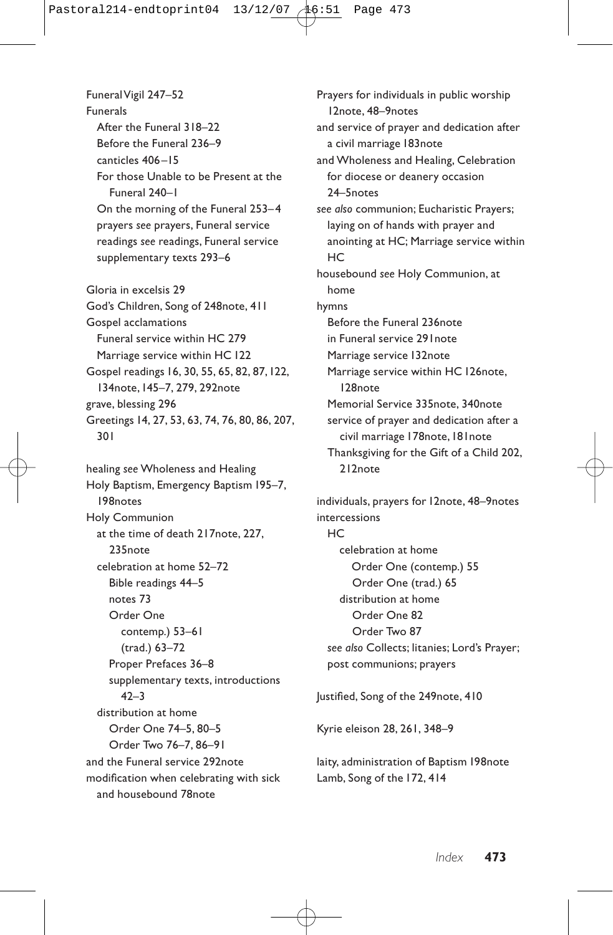Funeral Vigil 247–52 Funerals After the Funeral 318–22 Before the Funeral 236–9 canticles 406–15 For those Unable to be Present at the Funeral 240–1 On the morning of the Funeral 253–4 prayers *see* prayers, Funeral service readings *see* readings, Funeral service supplementary texts 293–6 Gloria in excelsis 29 God's Children, Song of 248note, 411 Gospel acclamations Funeral service within HC 279 Marriage service within HC 122 Gospel readings 16, 30, 55, 65, 82, 87,122,

134note,145–7, 279, 292note grave, blessing 296 Greetings 14, 27, 53, 63, 74, 76, 80, 86, 207, 301

healing *see* Wholeness and Healing Holy Baptism, Emergency Baptism 195–7, 198notes Holy Communion at the time of death 217note, 227, 235note celebration at home 52–72 Bible readings 44–5 notes 73 Order One contemp.) 53–61 (trad.) 63–72 Proper Prefaces 36–8 supplementary texts, introductions  $42 - 3$ distribution at home Order One 74–5, 80–5 Order Two 76–7, 86–91 and the Funeral service 292note modification when celebrating with sick and housebound 78note

Prayers for individuals in public worship 12note, 48–9notes and service of prayer and dedication after a civil marriage 183note and Wholeness and Healing, Celebration for diocese or deanery occasion 24–5notes *see also* communion; Eucharistic Prayers; laying on of hands with prayer and anointing at HC; Marriage service within **HC** housebound *see* Holy Communion, at home hymns Before the Funeral 236note in Funeral service 291note Marriage service 132note Marriage service within HC 126note, 128note Memorial Service 335note, 340note service of prayer and dedication after a civil marriage 178note, 181note Thanksgiving for the Gift of a Child 202, 212note

individuals, prayers for 12note, 48–9notes intercessions HC celebration at home Order One (contemp.) 55 Order One (trad.) 65 distribution at home Order One 82 Order Two 87 *see also* Collects; litanies; Lord's Prayer; post communions; prayers

Justified, Song of the 249note, 410

Kyrie eleison 28, 261, 348–9

laity, administration of Baptism 198note Lamb, Song of the 172, 414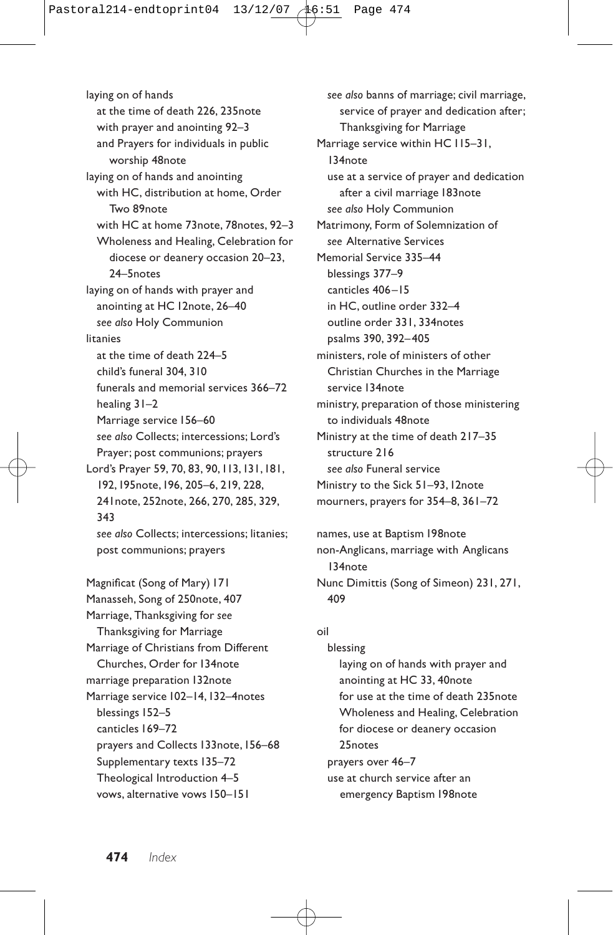laying on of hands at the time of death 226, 235note with prayer and anointing 92–3 and Prayers for individuals in public worship 48note laying on of hands and anointing with HC, distribution at home, Order Two 89note with HC at home 73note, 78notes, 92–3 Wholeness and Healing, Celebration for diocese or deanery occasion 20–23, 24–5notes laying on of hands with prayer and anointing at HC 12note, 26–40 *see also* Holy Communion litanies at the time of death 224–5 child's funeral 304, 310 funerals and memorial services 366–72 healing 31–2 Marriage service 156–60 *see also* Collects; intercessions; Lord's Prayer; post communions; prayers Lord's Prayer 59, 70, 83, 90,113,131,181, 192,195note,196, 205–6, 219, 228, 241note, 252note, 266, 270, 285, 329, 343 *see also* Collects; intercessions; litanies; post communions; prayers

Magnificat (Song of Mary) 171 Manasseh, Song of 250note, 407 Marriage, Thanksgiving for *see* Thanksgiving for Marriage Marriage of Christians from Different Churches, Order for 134note marriage preparation 132note Marriage service 102–14,132–4notes blessings 152–5 canticles 169–72 prayers and Collects 133note, 156–68 Supplementary texts 135–72 Theological Introduction 4–5 vows, alternative vows 150–151

*see also* banns of marriage; civil marriage, service of prayer and dedication after; Thanksgiving for Marriage Marriage service within HC 115–31, 134note use at a service of prayer and dedication after a civil marriage 183note *see also* Holy Communion Matrimony, Form of Solemnization of *see* Alternative Services Memorial Service 335–44 blessings 377–9 canticles 406–15 in HC, outline order 332–4 outline order 331, 334notes psalms 390, 392–405 ministers, role of ministers of other Christian Churches in the Marriage service 134note ministry, preparation of those ministering to individuals 48note Ministry at the time of death 217–35 structure 216 *see also* Funeral service Ministry to the Sick 51–93,12note mourners, prayers for 354–8, 361–72

names, use at Baptism 198note non-Anglicans, marriage with Anglicans 134note Nunc Dimittis (Song of Simeon) 231, 271, 409

#### oil

blessing laying on of hands with prayer and anointing at HC 33, 40note for use at the time of death 235note Wholeness and Healing, Celebration for diocese or deanery occasion 25notes prayers over 46–7

use at church service after an emergency Baptism 198note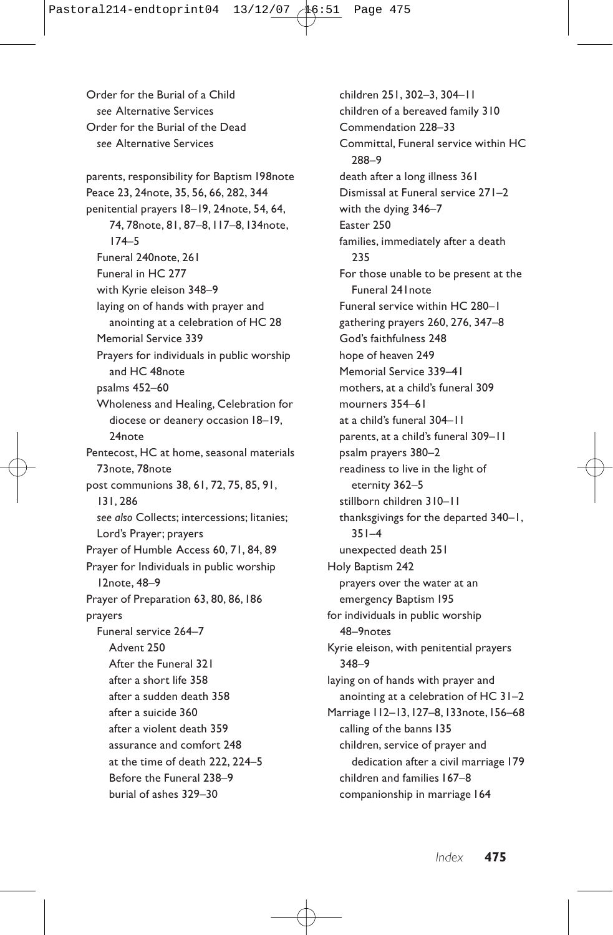Order for the Burial of a Child *see* Alternative Services Order for the Burial of the Dead *see* Alternative Services parents, responsibility for Baptism 198note Peace 23, 24note, 35, 56, 66, 282, 344 penitential prayers 18–19, 24note, 54, 64, 74, 78note, 81, 87–8,117–8,134note, 174–5 Funeral 240note, 261 Funeral in HC 277 with Kyrie eleison 348–9 laying on of hands with prayer and anointing at a celebration of HC 28 Memorial Service 339 Prayers for individuals in public worship and HC 48note psalms 452–60 Wholeness and Healing, Celebration for diocese or deanery occasion 18–19, 24note Pentecost, HC at home, seasonal materials 73note, 78note post communions 38, 61, 72, 75, 85, 91, 131, 286 *see also* Collects; intercessions; litanies; Lord's Prayer; prayers Prayer of Humble Access 60, 71, 84, 89 Prayer for Individuals in public worship 12note, 48–9 Prayer of Preparation 63, 80, 86,186 prayers Funeral service 264–7 Advent 250 After the Funeral 321 after a short life 358 after a sudden death 358 after a suicide 360 after a violent death 359 assurance and comfort 248 at the time of death 222, 224–5 Before the Funeral 238–9 burial of ashes 329–30

children 251, 302–3, 304–11 children of a bereaved family 310 Commendation 228–33 Committal, Funeral service within HC 288–9 death after a long illness 361 Dismissal at Funeral service 271–2 with the dying 346–7 Easter 250 families, immediately after a death 235 For those unable to be present at the Funeral 241note Funeral service within HC 280–1 gathering prayers 260, 276, 347–8 God's faithfulness 248 hope of heaven 249 Memorial Service 339–41 mothers, at a child's funeral 309 mourners 354–61 at a child's funeral 304–11 parents, at a child's funeral 309–11 psalm prayers 380–2 readiness to live in the light of eternity 362–5 stillborn children 310–11 thanksgivings for the departed 340–1, 351–4 unexpected death 251 Holy Baptism 242 prayers over the water at an emergency Baptism 195 for individuals in public worship 48–9notes Kyrie eleison, with penitential prayers 348–9 laying on of hands with prayer and anointing at a celebration of HC 31–2 Marriage 112–13,127–8,133note,156–68 calling of the banns 135 children, service of prayer and dedication after a civil marriage 179 children and families 167–8 companionship in marriage 164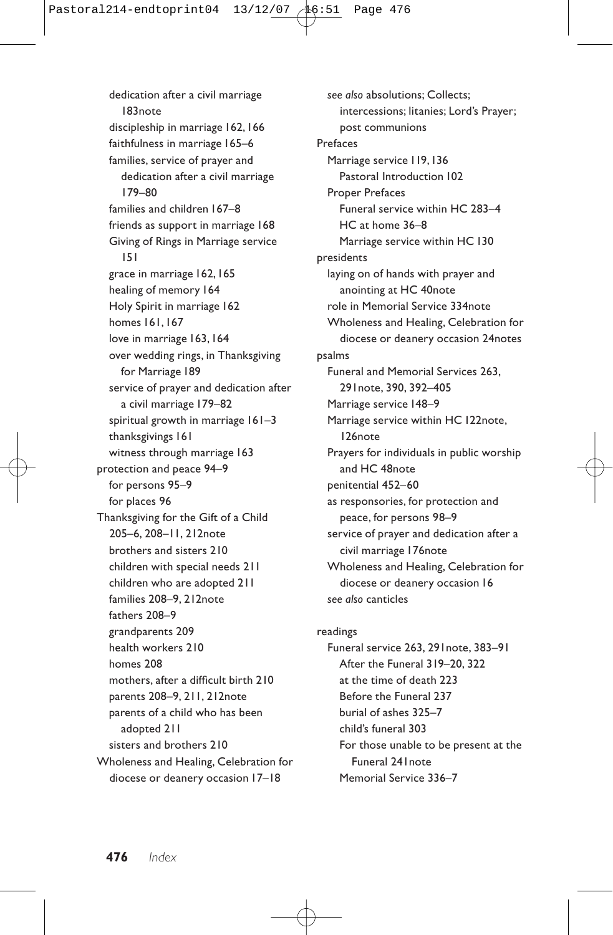dedication after a civil marriage 183note discipleship in marriage 162,166 faithfulness in marriage 165–6 families, service of prayer and dedication after a civil marriage 179–80 families and children 167–8 friends as support in marriage 168 Giving of Rings in Marriage service 151 grace in marriage 162,165 healing of memory 164 Holy Spirit in marriage 162 homes 161,167 love in marriage 163, 164 over wedding rings, in Thanksgiving for Marriage 189 service of prayer and dedication after a civil marriage 179–82 spiritual growth in marriage 161–3 thanksgivings 161 witness through marriage 163 protection and peace 94–9 for persons 95–9 for places 96 Thanksgiving for the Gift of a Child 205–6, 208–11, 212note brothers and sisters 210 children with special needs 211 children who are adopted 211 families 208–9, 212note fathers 208–9 grandparents 209 health workers 210 homes 208 mothers, after a difficult birth 210 parents 208–9, 211, 212note parents of a child who has been adopted 211 sisters and brothers 210 Wholeness and Healing, Celebration for diocese or deanery occasion 17–18

*see also* absolutions; Collects; intercessions; litanies; Lord's Prayer; post communions Prefaces Marriage service 119,136 Pastoral Introduction 102 Proper Prefaces Funeral service within HC 283–4 HC at home 36–8 Marriage service within HC 130 presidents laying on of hands with prayer and anointing at HC 40note role in Memorial Service 334note Wholeness and Healing, Celebration for diocese or deanery occasion 24notes psalms Funeral and Memorial Services 263, 291note, 390, 392–405 Marriage service 148–9 Marriage service within HC 122note, 126note Prayers for individuals in public worship and HC 48note penitential 452–60 as responsories, for protection and peace, for persons 98–9 service of prayer and dedication after a civil marriage 176note Wholeness and Healing, Celebration for diocese or deanery occasion 16 *see also* canticles

readings Funeral service 263, 291note, 383–91 After the Funeral 319–20, 322 at the time of death 223 Before the Funeral 237 burial of ashes 325–7 child's funeral 303 For those unable to be present at the Funeral 241note Memorial Service 336–7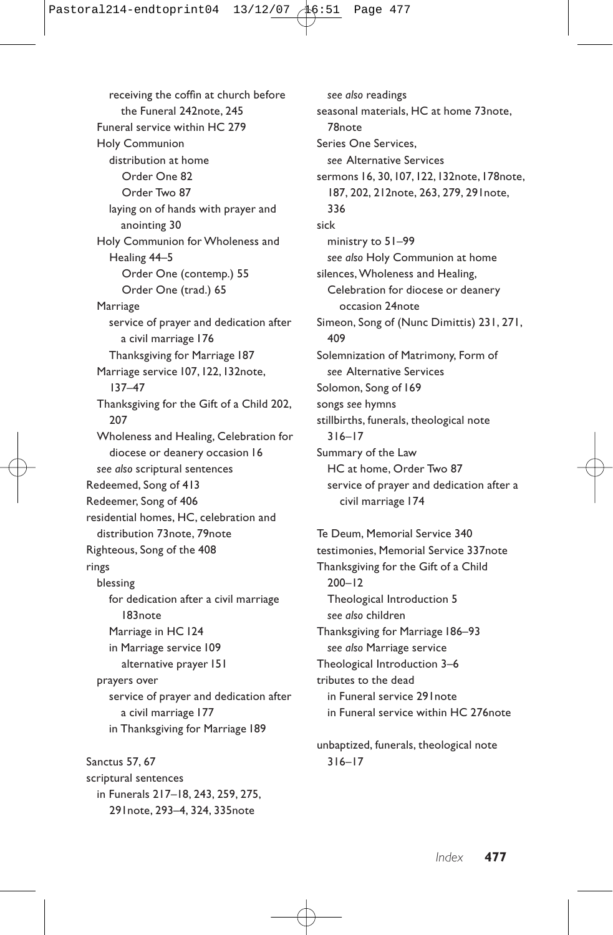receiving the coffin at church before the Funeral 242note, 245 Funeral service within HC 279 Holy Communion distribution at home Order One 82 Order Two 87 laying on of hands with prayer and anointing 30 Holy Communion for Wholeness and Healing 44–5 Order One (contemp.) 55 Order One (trad.) 65 Marriage service of prayer and dedication after a civil marriage 176 Thanksgiving for Marriage 187 Marriage service 107,122,132note, 137–47 Thanksgiving for the Gift of a Child 202, 207 Wholeness and Healing, Celebration for diocese or deanery occasion 16 *see also* scriptural sentences Redeemed, Song of 413 Redeemer, Song of 406 residential homes, HC, celebration and distribution 73note, 79note Righteous, Song of the 408 rings blessing for dedication after a civil marriage 183note Marriage in HC 124 in Marriage service 109 alternative prayer 151 prayers over service of prayer and dedication after a civil marriage 177 in Thanksgiving for Marriage 189

Sanctus 57, 67 scriptural sentences in Funerals 217–18, 243, 259, 275, 291note, 293–4, 324, 335note

*see also* readings seasonal materials, HC at home 73note, 78note Series One Services, *see* Alternative Services sermons 16, 30,107,122,132note,178note, 187, 202, 212note, 263, 279, 291note, 336 sick ministry to 51–99 *see also* Holy Communion at home silences,Wholeness and Healing, Celebration for diocese or deanery occasion 24note Simeon, Song of (Nunc Dimittis) 231, 271, 409 Solemnization of Matrimony, Form of *see* Alternative Services Solomon, Song of 169 songs *see* hymns stillbirths, funerals, theological note 316–17 Summary of the Law HC at home, Order Two 87 service of prayer and dedication after a civil marriage 174 Te Deum, Memorial Service 340 testimonies, Memorial Service 337note Thanksgiving for the Gift of a Child 200–12

Theological Introduction 5 *see also* children Thanksgiving for Marriage 186–93 *see also* Marriage service Theological Introduction 3–6 tributes to the dead in Funeral service 291note in Funeral service within HC 276note

unbaptized, funerals, theological note 316–17